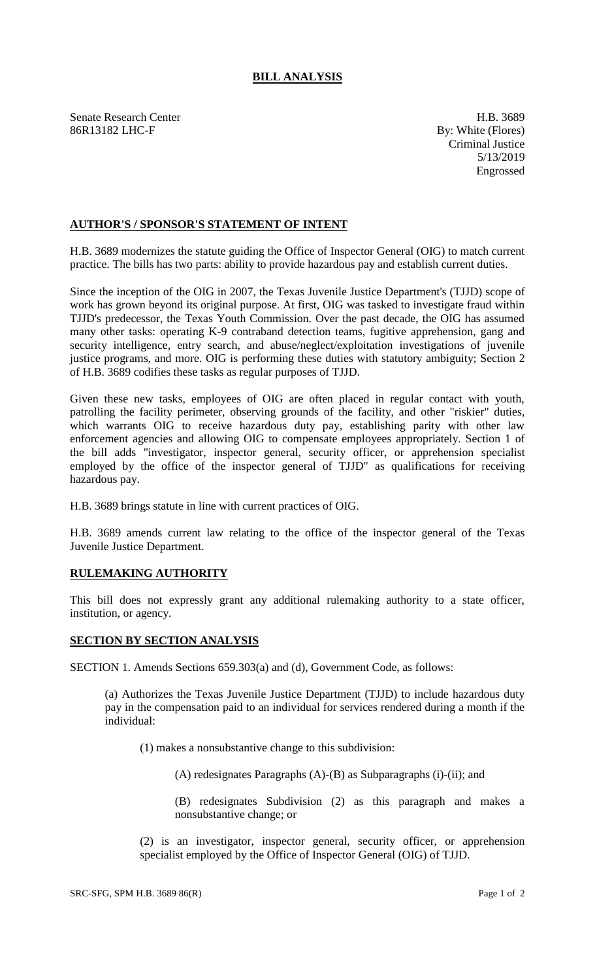## **BILL ANALYSIS**

Senate Research Center **H.B.** 3689 86R13182 LHC-F By: White (Flores)

Criminal Justice 5/13/2019 Engrossed

## **AUTHOR'S / SPONSOR'S STATEMENT OF INTENT**

H.B. 3689 modernizes the statute guiding the Office of Inspector General (OIG) to match current practice. The bills has two parts: ability to provide hazardous pay and establish current duties.

Since the inception of the OIG in 2007, the Texas Juvenile Justice Department's (TJJD) scope of work has grown beyond its original purpose. At first, OIG was tasked to investigate fraud within TJJD's predecessor, the Texas Youth Commission. Over the past decade, the OIG has assumed many other tasks: operating K-9 contraband detection teams, fugitive apprehension, gang and security intelligence, entry search, and abuse/neglect/exploitation investigations of juvenile justice programs, and more. OIG is performing these duties with statutory ambiguity; Section 2 of H.B. 3689 codifies these tasks as regular purposes of TJJD.

Given these new tasks, employees of OIG are often placed in regular contact with youth, patrolling the facility perimeter, observing grounds of the facility, and other "riskier" duties, which warrants OIG to receive hazardous duty pay, establishing parity with other law enforcement agencies and allowing OIG to compensate employees appropriately. Section 1 of the bill adds "investigator, inspector general, security officer, or apprehension specialist employed by the office of the inspector general of TJJD" as qualifications for receiving hazardous pay.

H.B. 3689 brings statute in line with current practices of OIG.

H.B. 3689 amends current law relating to the office of the inspector general of the Texas Juvenile Justice Department.

## **RULEMAKING AUTHORITY**

This bill does not expressly grant any additional rulemaking authority to a state officer, institution, or agency.

## **SECTION BY SECTION ANALYSIS**

SECTION 1. Amends Sections 659.303(a) and (d), Government Code, as follows:

(a) Authorizes the Texas Juvenile Justice Department (TJJD) to include hazardous duty pay in the compensation paid to an individual for services rendered during a month if the individual:

(1) makes a nonsubstantive change to this subdivision:

(A) redesignates Paragraphs (A)-(B) as Subparagraphs (i)-(ii); and

(B) redesignates Subdivision (2) as this paragraph and makes a nonsubstantive change; or

(2) is an investigator, inspector general, security officer, or apprehension specialist employed by the Office of Inspector General (OIG) of TJJD.